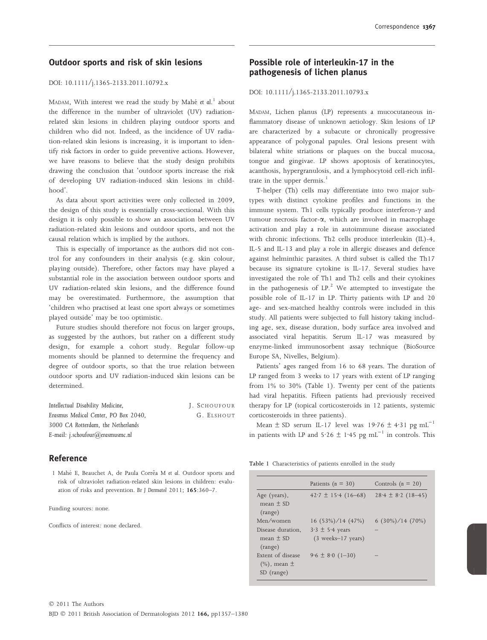## Outdoor sports and risk of skin lesions

#### DOI: 10.1111/j.1365-2133.2011.10792.x

MADAM, With interest we read the study by Mahé et al.<sup>1</sup> about the difference in the number of ultraviolet (UV) radiationrelated skin lesions in children playing outdoor sports and children who did not. Indeed, as the incidence of UV radiation-related skin lesions is increasing, it is important to identify risk factors in order to guide preventive actions. However, we have reasons to believe that the study design prohibits drawing the conclusion that 'outdoor sports increase the risk of developing UV radiation-induced skin lesions in childhood'.

As data about sport activities were only collected in 2009, the design of this study is essentially cross-sectional. With this design it is only possible to show an association between UV radiation-related skin lesions and outdoor sports, and not the causal relation which is implied by the authors.

This is especially of importance as the authors did not control for any confounders in their analysis (e.g. skin colour, playing outside). Therefore, other factors may have played a substantial role in the association between outdoor sports and UV radiation-related skin lesions, and the difference found may be overestimated. Furthermore, the assumption that 'children who practised at least one sport always or sometimes played outside' may be too optimistic.

Future studies should therefore not focus on larger groups, as suggested by the authors, but rather on a different study design, for example a cohort study. Regular follow-up moments should be planned to determine the frequency and degree of outdoor sports, so that the true relation between outdoor sports and UV radiation-induced skin lesions can be determined.

| Intellectual Disability Medicine,    | J. SCHOUFOUR |
|--------------------------------------|--------------|
| Erasmus Medical Center, PO Box 2040. | G. ELSHOUT   |
| 3000 CA Rotterdam, the Netherlands   |              |
| E-mail: j.schoufour@erasmusmc.nl     |              |

### Reference

1 Mahé E, Beauchet A, de Paula Corrêa M et al. Outdoor sports and risk of ultraviolet radiation-related skin lesions in children: evaluation of risks and prevention. Br J Dermatol 2011; 165:360–7.

Funding sources: none.

Conflicts of interest: none declared.

# Possible role of interleukin-17 in the pathogenesis of lichen planus

DOI: 10.1111/j.1365-2133.2011.10793.x

MADAM, Lichen planus (LP) represents a mucocutaneous inflammatory disease of unknown aetiology. Skin lesions of LP are characterized by a subacute or chronically progressive appearance of polygonal papules. Oral lesions present with bilateral white striations or plaques on the buccal mucosa, tongue and gingivae. LP shows apoptosis of keratinocytes, acanthosis, hypergranulosis, and a lymphocytoid cell-rich infiltrate in the upper dermis. $1$ 

T-helper (Th) cells may differentiate into two major subtypes with distinct cytokine profiles and functions in the immune system. Th1 cells typically produce interferon- $\gamma$  and tumour necrosis factor- $\alpha$ , which are involved in macrophage activation and play a role in autoimmune disease associated with chronic infections. Th2 cells produce interleukin (IL)-4, IL-5 and IL-13 and play a role in allergic diseases and defence against helminthic parasites. A third subset is called the Th17 because its signature cytokine is IL-17. Several studies have investigated the role of Th1 and Th2 cells and their cytokines in the pathogenesis of  $LP<sup>2</sup>$ . We attempted to investigate the possible role of IL-17 in LP. Thirty patients with LP and 20 age- and sex-matched healthy controls were included in this study. All patients were subjected to full history taking including age, sex, disease duration, body surface area involved and associated viral hepatitis. Serum IL-17 was measured by enzyme-linked immunosorbent assay technique (BioSource Europe SA, Nivelles, Belgium).

Patients' ages ranged from 16 to 68 years. The duration of LP ranged from 3 weeks to 17 years with extent of LP ranging from 1% to 30% (Table 1). Twenty per cent of the patients had viral hepatitis. Fifteen patients had previously received therapy for LP (topical corticosteroids in 12 patients, systemic corticosteroids in three patients).

Mean  $\pm$  SD serum IL-17 level was 19.76  $\pm$  4.31 pg mL<sup>-1</sup> in patients with LP and  $5.26 \pm 1.45$  pg mL<sup>-1</sup> in controls. This

Table 1 Characteristics of patients enrolled in the study

|                                                        | Patients ( $n = 30$ )                                         | Controls $(n = 20)$    |
|--------------------------------------------------------|---------------------------------------------------------------|------------------------|
| Age (years),<br>$mean + SD$<br>(range)                 | $42.7 \pm 15.4$ (16-68)                                       | $28.4 \pm 8.2$ (18-45) |
| Men/women                                              | $16(53\%)/14(47\%)$                                           | $6(30\%)/14(70\%)$     |
| Disease duration.<br>mean $\pm$ SD<br>(range)          | $3.3 \pm 5.4$ years<br>$(3 \text{ weeks} - 17 \text{ years})$ |                        |
| Extent of disease<br>$(\%)$ , mean $\pm$<br>SD (range) | $9.6 \pm 8.0$ (1-30)                                          |                        |